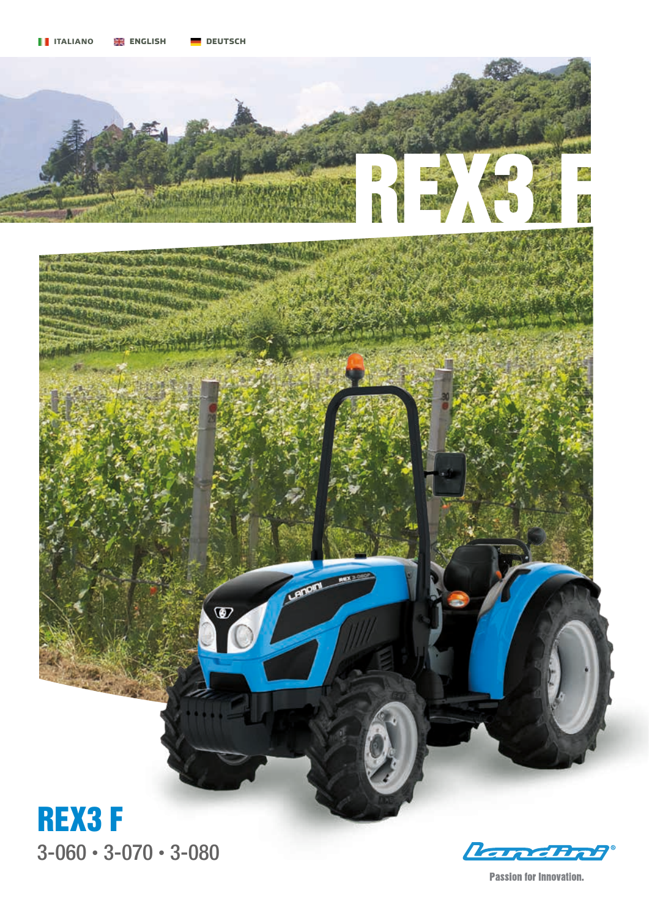

3-060 • 3-070 • 3-080

Ranchet

**Passion for Innovation.**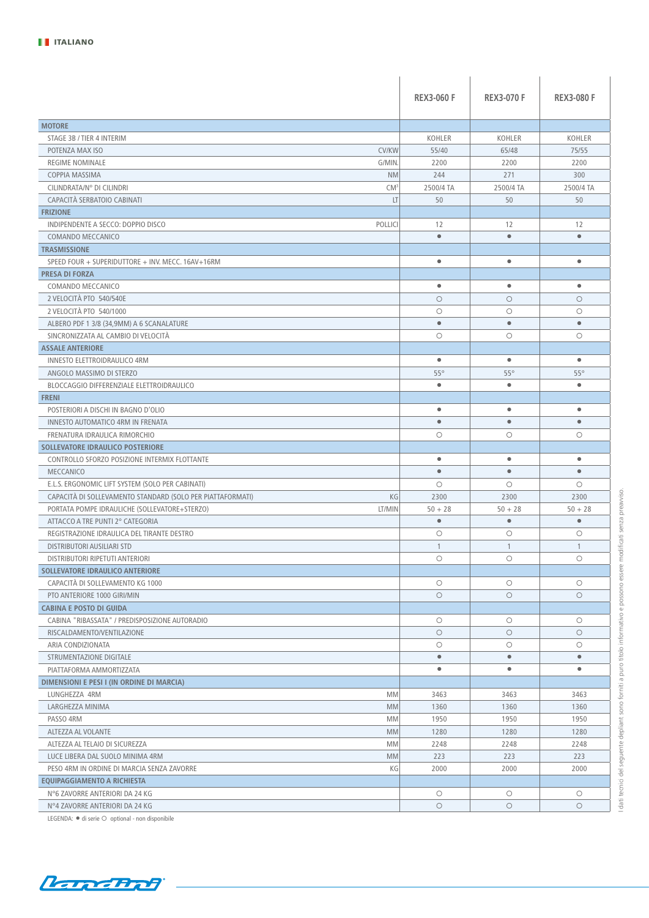|                                                                                  | <b>REX3-060 F</b> | <b>REX3-070 F</b> | <b>REX3-080 F</b> |
|----------------------------------------------------------------------------------|-------------------|-------------------|-------------------|
| <b>MOTORE</b>                                                                    |                   |                   |                   |
| STAGE 3B / TIER 4 INTERIM                                                        | KOHLER            | KOHLER            | KOHLER            |
| <b>CV/KW</b><br>POTENZA MAX ISO                                                  | 55/40             | 65/48             | 75/55             |
| G/MIN.<br>REGIME NOMINALE                                                        | 2200              | 2200              | 2200              |
| COPPIA MASSIMA<br><b>NM</b>                                                      | 244               | 271               | 300               |
| CILINDRATA/N° DI CILINDRI<br>CM <sup>3</sup>                                     | 2500/4 TA         | 2500/4 TA         | 2500/4 TA         |
| CAPACITÀ SERBATOIO CABINATI<br>LT                                                | 50                | 50                | 50                |
| <b>FRIZIONE</b>                                                                  |                   |                   |                   |
| INDIPENDENTE A SECCO: DOPPIO DISCO<br><b>POLLICI</b>                             | 12                | 12                | 12                |
| COMANDO MECCANICO                                                                | $\bullet$         | $\bullet$         | $\bullet$         |
| <b>TRASMISSIONE</b>                                                              |                   |                   |                   |
| SPEED FOUR + SUPERIDUTTORE + INV. MECC. 16AV+16RM                                | $\bullet$         | $\bullet$         | $\bullet$         |
| <b>PRESA DI FORZA</b>                                                            |                   |                   |                   |
| COMANDO MECCANICO                                                                | $\bullet$         | $\bullet$         | $\bullet$         |
| 2 VELOCITÀ PTO 540/540E                                                          | $\circ$           | $\circ$           | $\circ$           |
| 2 VELOCITÀ PTO 540/1000                                                          | $\circ$           | $\circ$           | $\circ$           |
|                                                                                  | $\bullet$         | $\bullet$         | $\bullet$         |
| ALBERO PDF 1 3/8 (34,9MM) A 6 SCANALATURE<br>SINCRONIZZATA AL CAMBIO DI VELOCITÀ | $\circ$           | $\circ$           | $\circ$           |
| <b>ASSALE ANTERIORE</b>                                                          |                   |                   |                   |
|                                                                                  | $\bullet$         | $\bullet$         | $\bullet$         |
| INNESTO ELETTROIDRAULICO 4RM                                                     |                   |                   |                   |
| ANGOLO MASSIMO DI STERZO                                                         | $55^{\circ}$      | $55^\circ$        | $55^{\circ}$      |
| BLOCCAGGIO DIFFERENZIALE ELETTROIDRAULICO                                        | $\bullet$         | $\bullet$         | $\bullet$         |
| <b>FRENI</b>                                                                     |                   |                   |                   |
| POSTERIORI A DISCHI IN BAGNO D'OLIO                                              | $\bullet$         | $\bullet$         | $\bullet$         |
| INNESTO AUTOMATICO 4RM IN FRENATA                                                | $\bullet$         | $\bullet$         | $\bullet$         |
| FRENATURA IDRAULICA RIMORCHIO                                                    | $\circ$           | $\circ$           | $\circ$           |
| SOLLEVATORE IDRAULICO POSTERIORE                                                 |                   |                   |                   |
| CONTROLLO SFORZO POSIZIONE INTERMIX FLOTTANTE                                    | $\bullet$         | $\bullet$         | $\bullet$         |
| MECCANICO                                                                        | $\bullet$         | $\bullet$         | $\bullet$         |
| E.L.S. ERGONOMIC LIFT SYSTEM (SOLO PER CABINATI)                                 | $\circ$           | $\circ$           | $\circ$           |
| KG<br>CAPACITA DI SOLLEVAMENTO STANDARD (SOLO PER PIATTAFORMATI)                 | 2300              | 2300              | 2300              |
| LT/MIN<br>PORTATA POMPE IDRAULICHE (SOLLEVATORE+STERZO)                          | $50 + 28$         | $50 + 28$         | $50 + 28$         |
| ATTACCO A TRE PUNTI 2° CATEGORIA                                                 | $\bullet$         | $\bullet$         | $\bullet$         |
| REGISTRAZIONE IDRAULICA DEL TIRANTE DESTRO                                       | $\circ$           | $\circ$           | $\circ$           |
| DISTRIBUTORI AUSILIARI STD                                                       | $\mathbf{1}$      | 1                 | $\mathbf{1}$      |
| DISTRIBUTORI RIPETUTI ANTERIORI                                                  | $\circ$           | $\circ$           | $\bigcirc$        |
| SOLLEVATORE IDRAULICO ANTERIORE                                                  |                   |                   |                   |
| CAPACITÀ DI SOLLEVAMENTO KG 1000                                                 | $\bigcirc$        | $\circ$           | $\bigcirc$        |
| PTO ANTERIORE 1000 GIRI/MIN                                                      | $\circ$           | $\circ$           | $\circ$           |
| <b>CABINA E POSTO DI GUIDA</b>                                                   |                   |                   |                   |
| CABINA "RIBASSATA" / PREDISPOSIZIONE AUTORADIO                                   | $\circ$           | $\circ$           | $\bigcirc$        |
| RISCALDAMENTO/VENTILAZIONE                                                       | $\circ$           | $\circ$           | $\bigcirc$        |
| ARIA CONDIZIONATA                                                                | $\circ$           | $\circ$           | $\bigcirc$        |
| STRUMENTAZIONE DIGITALE                                                          | $\bullet$         | $\bullet$         | $\bullet$         |
| PIATTAFORMA AMMORTIZZATA                                                         | $\bullet$         | $\bullet$         | $\bullet$         |
| DIMENSIONI E PESI I (IN ORDINE DI MARCIA)                                        |                   |                   |                   |
| LUNGHEZZA 4RM<br>MM                                                              | 3463              | 3463              | 3463              |
| <b>MM</b><br>LARGHEZZA MINIMA                                                    | 1360              | 1360              | 1360              |
| PASSO 4RM<br>МM                                                                  | 1950              | 1950              | 1950              |
| <b>MM</b><br>ALTEZZA AL VOLANTE                                                  | 1280              | 1280              | 1280              |
| MM<br>ALTEZZA AL TELAIO DI SICUREZZA                                             | 2248              | 2248              | 2248              |
| LUCE LIBERA DAL SUOLO MINIMA 4RM<br><b>MM</b>                                    | 223               | 223               | 223               |
| PESO 4RM IN ORDINE DI MARCIA SENZA ZAVORRE<br>КG                                 | 2000              | 2000              | 2000              |
| EQUIPAGGIAMENTO A RICHIESTA                                                      |                   |                   |                   |
| N°6 ZAVORRE ANTERIORI DA 24 KG                                                   | $\bigcirc$        | $\bigcirc$        | $\bigcirc$        |
| N°4 ZAVORRE ANTERIORI DA 24 KG                                                   | $\circ$           | $\circ$           | $\circ$           |

LEGENDA:  $\bullet$  di serie  $\circ$  optional - non disponibile

I dati tecnici del seguente depliant sono forniti a puro titolo informativo e possono essere modificati senza preavviso.

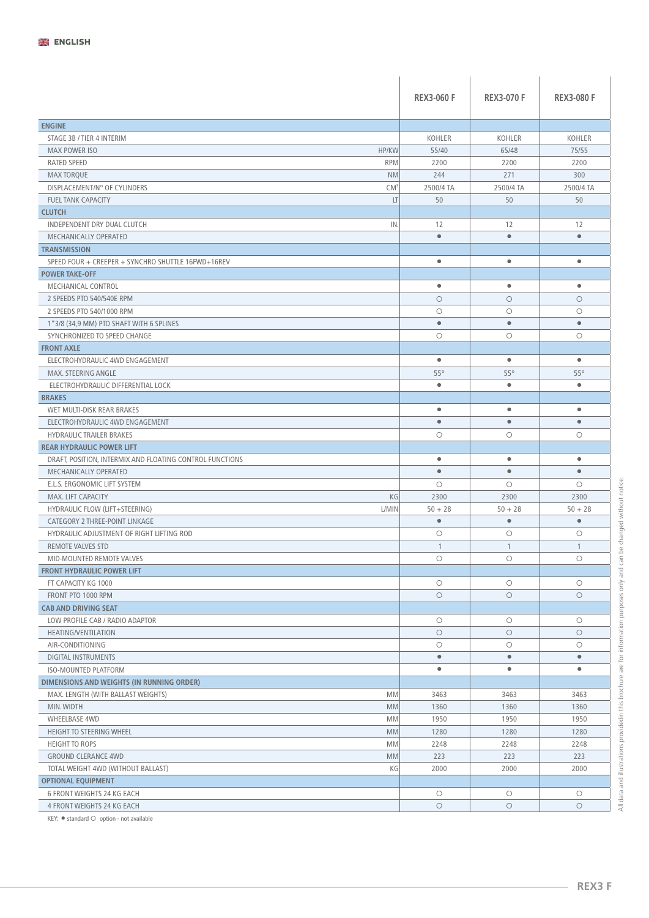|                                                                                              | <b>REX3-060 F</b>      | <b>REX3-070 F</b>      | <b>REX3-080 F</b>      |
|----------------------------------------------------------------------------------------------|------------------------|------------------------|------------------------|
| <b>ENGINE</b>                                                                                |                        |                        |                        |
| STAGE 3B / TIER 4 INTERIM                                                                    | KOHLER                 | KOHLER                 | KOHLER                 |
| <b>MAX POWER ISO</b><br>HP/KW                                                                | 55/40                  | 65/48                  | 75/55                  |
| <b>RATED SPEED</b><br><b>RPM</b>                                                             | 2200                   | 2200                   | 2200                   |
| <b>NM</b><br><b>MAX TORQUE</b>                                                               | 244                    | 271                    | 300                    |
| DISPLACEMENT/N° OF CYLINDERS<br>CM <sup>3</sup>                                              | 2500/4 TA              | 2500/4 TA              | 2500/4 TA              |
| LT<br><b>FUEL TANK CAPACITY</b>                                                              | 50                     | 50                     | 50                     |
| <b>CLUTCH</b>                                                                                |                        |                        |                        |
| INDEPENDENT DRY DUAL CLUTCH<br>IN.                                                           | 12                     | 12                     | 12                     |
| MECHANICALLY OPERATED                                                                        | $\bullet$              | $\bullet$              | $\bullet$              |
| <b>TRANSMISSION</b>                                                                          |                        |                        |                        |
| SPEED FOUR + CREEPER + SYNCHRO SHUTTLE 16FWD+16REV                                           | $\bullet$              | $\bullet$              | $\bullet$              |
| <b>POWER TAKE-OFF</b>                                                                        |                        |                        |                        |
| MECHANICAL CONTROL                                                                           | $\bullet$              | $\bullet$              | $\bullet$              |
| 2 SPEEDS PTO 540/540E RPM                                                                    | $\circ$                | $\circ$                | $\circ$                |
| 2 SPEEDS PTO 540/1000 RPM                                                                    | $\circ$                | $\circ$                | $\circ$                |
|                                                                                              | $\bullet$              | $\bullet$              | $\bullet$              |
| 1"3/8 (34,9 MM) PTO SHAFT WITH 6 SPLINES<br>SYNCHRONIZED TO SPEED CHANGE                     | $\circ$                | $\circ$                | $\circ$                |
| <b>FRONT AXLE</b>                                                                            |                        |                        |                        |
| ELECTROHYDRAULIC 4WD ENGAGEMENT                                                              | $\bullet$              | $\bullet$              | $\bullet$              |
|                                                                                              | $55^\circ$             | $55^\circ$             | $55^\circ$             |
| <b>MAX. STEERING ANGLE</b>                                                                   | $\bullet$              | $\bullet$              | $\bullet$              |
| ELECTROHYDRAULIC DIFFERENTIAL LOCK<br><b>BRAKES</b>                                          |                        |                        |                        |
|                                                                                              | $\bullet$              | $\bullet$              | $\bullet$              |
| WET MULTI-DISK REAR BRAKES                                                                   | $\bullet$              | $\bullet$              | $\bullet$              |
| ELECTROHYDRAULIC 4WD ENGAGEMENT                                                              |                        |                        |                        |
| <b>HYDRAULIC TRAILER BRAKES</b>                                                              | $\circ$                | $\circ$                | $\circ$                |
| <b>REAR HYDRAULIC POWER LIFT</b><br>DRAFT, POSITION, INTERMIX AND FLOATING CONTROL FUNCTIONS | $\bullet$              | $\bullet$              | $\bullet$              |
| MECHANICALLY OPERATED                                                                        | $\bullet$              | $\bullet$              | $\bullet$              |
| E.L.S. ERGONOMIC LIFT SYSTEM                                                                 | $\circ$                | $\circ$                | $\circ$                |
| MAX. LIFT CAPACITY<br>KG                                                                     | 2300                   | 2300                   | 2300                   |
| L/MIN<br>HYDRAULIC FLOW (LIFT+STEERING)                                                      |                        |                        | $50 + 28$              |
|                                                                                              | $50 + 28$<br>$\bullet$ | $50 + 28$<br>$\bullet$ | $\bullet$              |
| CATEGORY 2 THREE-POINT LINKAGE                                                               |                        |                        |                        |
| HYDRAULIC ADJUSTMENT OF RIGHT LIFTING ROD                                                    | $\bigcirc$             | $\circ$                | $\circ$                |
| <b>REMOTE VALVES STD</b>                                                                     | $\mathbf{1}$           | 1                      | $\mathbf{1}$           |
| MID-MOUNTED REMOTE VALVES                                                                    | $\bigcirc$             | $\circ$                | $\circ$                |
| <b>FRONT HYDRAULIC POWER LIFT</b>                                                            |                        |                        |                        |
| FT CAPACITY KG 1000                                                                          | $\bigcirc$             | $\bigcirc$             | $\circlearrowright$    |
| FRONT PTO 1000 RPM                                                                           | $\circ$                | $\circ$                | $\circ$                |
| <b>CAB AND DRIVING SEAT</b>                                                                  |                        |                        |                        |
| LOW PROFILE CAB / RADIO ADAPTOR                                                              | $\bigcirc$             | $\bigcirc$             | $\circlearrowright$    |
| <b>HEATING/VENTILATION</b>                                                                   | $\circ$                | $\circ$                | $\circ$                |
| AIR-CONDITIONING                                                                             | $\bigcirc$             | $\circ$                | $\bigcirc$             |
| <b>DIGITAL INSTRUMENTS</b>                                                                   | $\bullet$<br>$\bullet$ | $\bullet$<br>$\bullet$ | $\bullet$<br>$\bullet$ |
| <b>ISO-MOUNTED PLATFORM</b>                                                                  |                        |                        |                        |
| DIMENSIONS AND WEIGHTS (IN RUNNING ORDER)                                                    |                        |                        |                        |
| MAX. LENGTH (WITH BALLAST WEIGHTS)<br><b>MM</b>                                              | 3463                   | 3463                   | 3463                   |
| MIN. WIDTH<br><b>MM</b>                                                                      | 1360                   | 1360                   | 1360                   |
| <b>WHEELBASE 4WD</b><br><b>MM</b>                                                            | 1950                   | 1950                   | 1950                   |
| HEIGHT TO STEERING WHEEL<br><b>MM</b>                                                        | 1280                   | 1280                   | 1280                   |
| <b>HEIGHT TO ROPS</b><br><b>MM</b>                                                           | 2248                   | 2248                   | 2248                   |
| <b>GROUND CLERANCE 4WD</b><br><b>MM</b>                                                      | 223                    | 223                    | 223                    |
| KG<br>TOTAL WEIGHT 4WD (WITHOUT BALLAST)                                                     | 2000                   | 2000                   | 2000                   |
| <b>OPTIONAL EQUIPMENT</b>                                                                    |                        |                        |                        |
| 6 FRONT WEIGHTS 24 KG EACH                                                                   | $\bigcirc$             | $\circ$                | $\circlearrowright$    |
| 4 FRONT WEIGHTS 24 KG EACH                                                                   | $\circ$                | $\circ$                | $\circ$                |